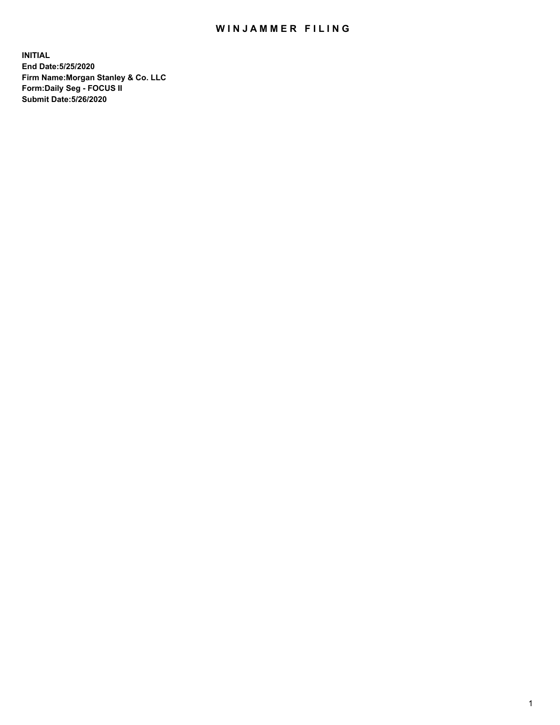## WIN JAMMER FILING

**INITIAL End Date:5/25/2020 Firm Name:Morgan Stanley & Co. LLC Form:Daily Seg - FOCUS II Submit Date:5/26/2020**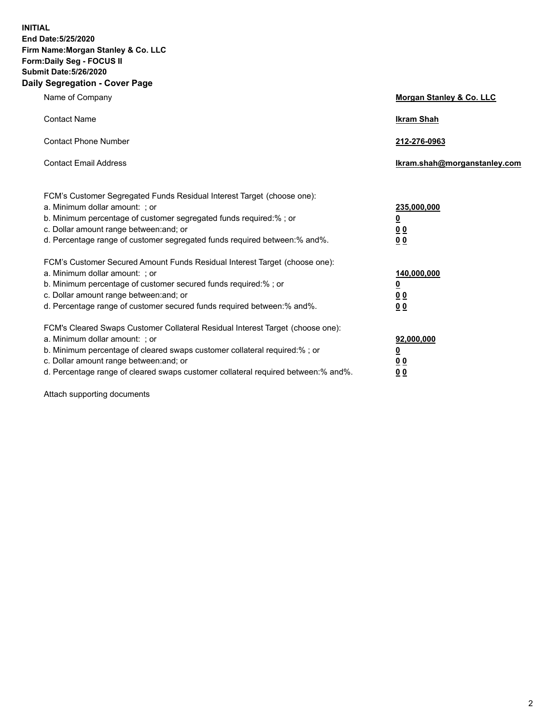**INITIAL End Date:5/25/2020 Firm Name:Morgan Stanley & Co. LLC Form:Daily Seg - FOCUS II Submit Date:5/26/2020 Daily Segregation - Cover Page**

| Name of Company                                                                                                                                                                                                                                                                                                                | Morgan Stanley & Co. LLC                               |
|--------------------------------------------------------------------------------------------------------------------------------------------------------------------------------------------------------------------------------------------------------------------------------------------------------------------------------|--------------------------------------------------------|
| <b>Contact Name</b>                                                                                                                                                                                                                                                                                                            | <b>Ikram Shah</b>                                      |
| <b>Contact Phone Number</b>                                                                                                                                                                                                                                                                                                    | 212-276-0963                                           |
| <b>Contact Email Address</b>                                                                                                                                                                                                                                                                                                   | Ikram.shah@morganstanley.com                           |
| FCM's Customer Segregated Funds Residual Interest Target (choose one):<br>a. Minimum dollar amount: ; or<br>b. Minimum percentage of customer segregated funds required:% ; or<br>c. Dollar amount range between: and; or<br>d. Percentage range of customer segregated funds required between: % and %.                       | 235,000,000<br><u>0</u><br>00<br>0 <sub>0</sub>        |
| FCM's Customer Secured Amount Funds Residual Interest Target (choose one):<br>a. Minimum dollar amount: ; or<br>b. Minimum percentage of customer secured funds required:% ; or<br>c. Dollar amount range between: and; or<br>d. Percentage range of customer secured funds required between:% and%.                           | 140,000,000<br><u>0</u><br><u>00</u><br>0 <sub>0</sub> |
| FCM's Cleared Swaps Customer Collateral Residual Interest Target (choose one):<br>a. Minimum dollar amount: ; or<br>b. Minimum percentage of cleared swaps customer collateral required:% ; or<br>c. Dollar amount range between: and; or<br>d. Percentage range of cleared swaps customer collateral required between:% and%. | 92,000,000<br><u>0</u><br><u>00</u><br>00              |

Attach supporting documents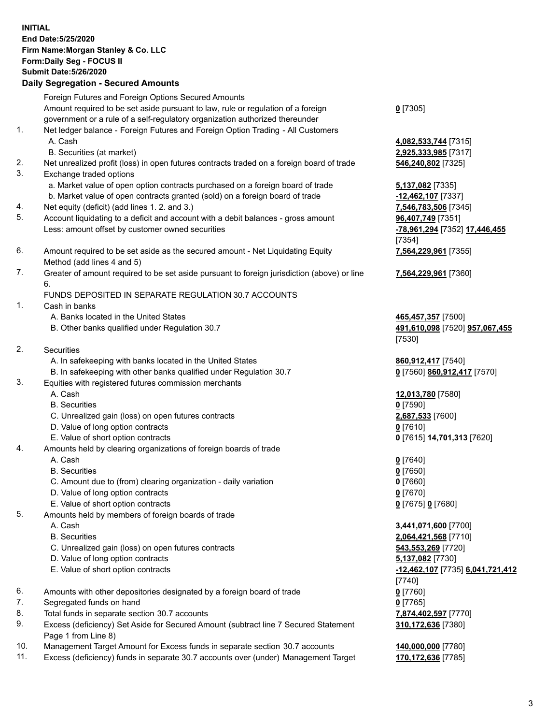| <b>INITIAL</b> | End Date: 5/25/2020<br>Firm Name: Morgan Stanley & Co. LLC<br>Form: Daily Seg - FOCUS II<br><b>Submit Date: 5/26/2020</b><br><b>Daily Segregation - Secured Amounts</b>    |                                                                |
|----------------|----------------------------------------------------------------------------------------------------------------------------------------------------------------------------|----------------------------------------------------------------|
|                | Foreign Futures and Foreign Options Secured Amounts                                                                                                                        |                                                                |
|                | Amount required to be set aside pursuant to law, rule or regulation of a foreign                                                                                           | $0$ [7305]                                                     |
| 1.             | government or a rule of a self-regulatory organization authorized thereunder<br>Net ledger balance - Foreign Futures and Foreign Option Trading - All Customers<br>A. Cash | 4,082,533,744 [7315]                                           |
|                | B. Securities (at market)                                                                                                                                                  | 2,925,333,985 [7317]                                           |
| 2.<br>3.       | Net unrealized profit (loss) in open futures contracts traded on a foreign board of trade<br>Exchange traded options                                                       | 546,240,802 [7325]                                             |
|                | a. Market value of open option contracts purchased on a foreign board of trade<br>b. Market value of open contracts granted (sold) on a foreign board of trade             | <b>5,137,082</b> [7335]<br>-12,462,107 [7337]                  |
| 4.             | Net equity (deficit) (add lines 1.2. and 3.)                                                                                                                               | 7,546,783,506 [7345]                                           |
| 5.             | Account liquidating to a deficit and account with a debit balances - gross amount                                                                                          | 96,407,749 [7351]                                              |
|                | Less: amount offset by customer owned securities                                                                                                                           | -78,961,294 [7352] 17,446,455<br>[7354]                        |
| 6.             | Amount required to be set aside as the secured amount - Net Liquidating Equity<br>Method (add lines 4 and 5)                                                               | 7,564,229,961 [7355]                                           |
| 7.             | Greater of amount required to be set aside pursuant to foreign jurisdiction (above) or line<br>6.                                                                          | 7,564,229,961 [7360]                                           |
|                | FUNDS DEPOSITED IN SEPARATE REGULATION 30.7 ACCOUNTS                                                                                                                       |                                                                |
| 1.             | Cash in banks                                                                                                                                                              |                                                                |
|                | A. Banks located in the United States<br>B. Other banks qualified under Regulation 30.7                                                                                    | 465,457,357 [7500]<br>491,610,098 [7520] 957,067,455<br>[7530] |
| 2.             | Securities                                                                                                                                                                 |                                                                |
|                | A. In safekeeping with banks located in the United States                                                                                                                  | 860,912,417 [7540]                                             |
|                | B. In safekeeping with other banks qualified under Regulation 30.7                                                                                                         | 0 [7560] 860,912,417 [7570]                                    |
| 3.             | Equities with registered futures commission merchants<br>A. Cash                                                                                                           |                                                                |
|                | <b>B.</b> Securities                                                                                                                                                       | 12,013,780 [7580]<br>$0$ [7590]                                |
|                | C. Unrealized gain (loss) on open futures contracts                                                                                                                        | 2,687,533 [7600]                                               |
|                | D. Value of long option contracts                                                                                                                                          | $0$ [7610]                                                     |
|                | E. Value of short option contracts                                                                                                                                         | 0 [7615] 14,701,313 [7620]                                     |
| 4.             | Amounts held by clearing organizations of foreign boards of trade                                                                                                          |                                                                |
|                | A. Cash                                                                                                                                                                    | $0$ [7640]                                                     |
|                | <b>B.</b> Securities                                                                                                                                                       | $0$ [7650]                                                     |
|                | C. Amount due to (from) clearing organization - daily variation                                                                                                            | $0$ [7660]                                                     |
|                | D. Value of long option contracts<br>E. Value of short option contracts                                                                                                    | $0$ [7670]<br>0 [7675] 0 [7680]                                |
| 5.             | Amounts held by members of foreign boards of trade                                                                                                                         |                                                                |
|                | A. Cash                                                                                                                                                                    | 3,441,071,600 [7700]                                           |
|                | <b>B.</b> Securities                                                                                                                                                       | 2,064,421,568 [7710]                                           |
|                | C. Unrealized gain (loss) on open futures contracts                                                                                                                        | 543,553,269 [7720]                                             |
|                | D. Value of long option contracts                                                                                                                                          | 5,137,082 [7730]                                               |
|                | E. Value of short option contracts                                                                                                                                         | <u>-12,462,107</u> [7735] <b>6,041,721,412</b>                 |
|                |                                                                                                                                                                            | $[7740]$                                                       |
| 6.             | Amounts with other depositories designated by a foreign board of trade                                                                                                     | $0$ [7760]                                                     |
| 7.             | Segregated funds on hand                                                                                                                                                   | $0$ [7765]                                                     |
| 8.<br>9.       | Total funds in separate section 30.7 accounts                                                                                                                              | 7,874,402,597 [7770]                                           |
|                | Excess (deficiency) Set Aside for Secured Amount (subtract line 7 Secured Statement<br>Page 1 from Line 8)                                                                 | 310,172,636 [7380]                                             |
| 10.            | Management Target Amount for Excess funds in separate section 30.7 accounts                                                                                                | 140,000,000 [7780]                                             |

11. Excess (deficiency) funds in separate 30.7 accounts over (under) Management Target **170,172,636** [7785]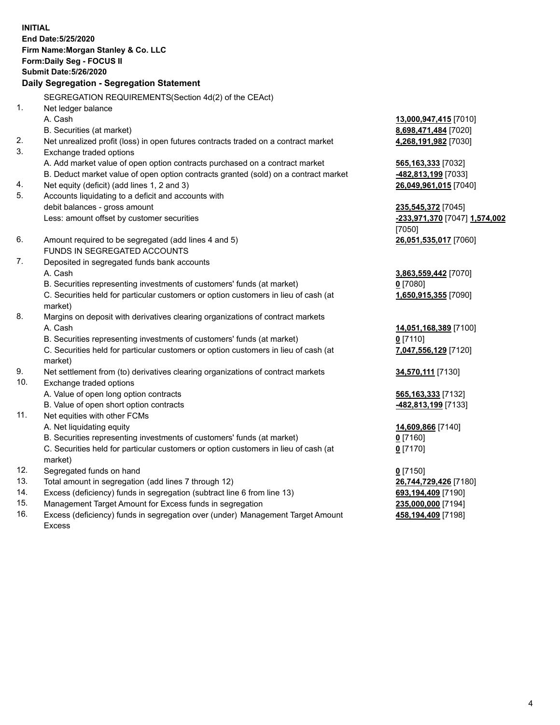**INITIAL End Date:5/25/2020 Firm Name:Morgan Stanley & Co. LLC Form:Daily Seg - FOCUS II Submit Date:5/26/2020 Daily Segregation - Segregation Statement** SEGREGATION REQUIREMENTS(Section 4d(2) of the CEAct) 1. Net ledger balance A. Cash **13,000,947,415** [7010] B. Securities (at market) **8,698,471,484** [7020] 2. Net unrealized profit (loss) in open futures contracts traded on a contract market **4,268,191,982** [7030] 3. Exchange traded options A. Add market value of open option contracts purchased on a contract market **565,163,333** [7032] B. Deduct market value of open option contracts granted (sold) on a contract market **-482,813,199** [7033] 4. Net equity (deficit) (add lines 1, 2 and 3) **26,049,961,015** [7040] 5. Accounts liquidating to a deficit and accounts with debit balances - gross amount **235,545,372** [7045] Less: amount offset by customer securities **-233,971,370** [7047] **1,574,002** [7050] 6. Amount required to be segregated (add lines 4 and 5) **26,051,535,017** [7060] FUNDS IN SEGREGATED ACCOUNTS 7. Deposited in segregated funds bank accounts A. Cash **3,863,559,442** [7070] B. Securities representing investments of customers' funds (at market) **0** [7080] C. Securities held for particular customers or option customers in lieu of cash (at market) **1,650,915,355** [7090] 8. Margins on deposit with derivatives clearing organizations of contract markets A. Cash **14,051,168,389** [7100] B. Securities representing investments of customers' funds (at market) **0** [7110] C. Securities held for particular customers or option customers in lieu of cash (at market) **7,047,556,129** [7120] 9. Net settlement from (to) derivatives clearing organizations of contract markets **34,570,111** [7130] 10. Exchange traded options A. Value of open long option contracts **565,163,333** [7132] B. Value of open short option contracts **-482,813,199** [7133] 11. Net equities with other FCMs A. Net liquidating equity **14,609,866** [7140] B. Securities representing investments of customers' funds (at market) **0** [7160] C. Securities held for particular customers or option customers in lieu of cash (at market) **0** [7170] 12. Segregated funds on hand **0** [7150] 13. Total amount in segregation (add lines 7 through 12) **26,744,729,426** [7180] 14. Excess (deficiency) funds in segregation (subtract line 6 from line 13) **693,194,409** [7190] 15. Management Target Amount for Excess funds in segregation **235,000,000** [7194]

16. Excess (deficiency) funds in segregation over (under) Management Target Amount Excess

**458,194,409** [7198]